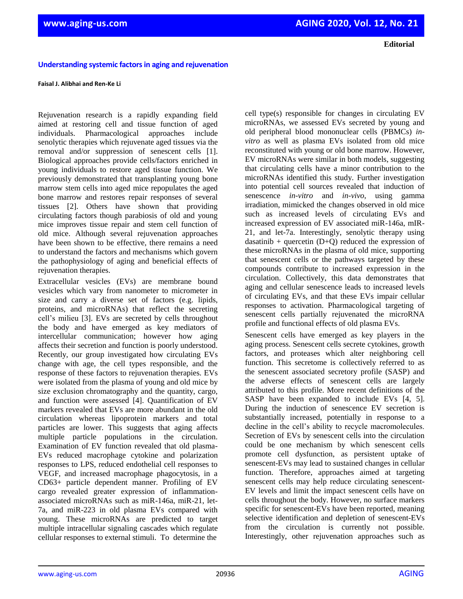**Editorial**

## **Understanding systemic factors in aging and rejuvenation**

## **Faisal J. Alibhai and Ren-Ke Li**

Rejuvenation research is a rapidly expanding field aimed at restoring cell and tissue function of aged individuals. Pharmacological approaches include senolytic therapies which rejuvenate aged tissues via the removal and/or suppression of senescent cells [1]. Biological approaches provide cells/factors enriched in young individuals to restore aged tissue function. We previously demonstrated that transplanting young bone marrow stem cells into aged mice repopulates the aged bone marrow and restores repair responses of several tissues [2]. Others have shown that providing circulating factors though parabiosis of old and young mice improves tissue repair and stem cell function of old mice. Although several rejuvenation approaches have been shown to be effective, there remains a need to understand the factors and mechanisms which govern the pathophysiology of aging and beneficial effects of rejuvenation therapies.

Extracellular vesicles (EVs) are membrane bound vesicles which vary from nanometer to micrometer in size and carry a diverse set of factors (e.g. lipids, proteins, and microRNAs) that reflect the secreting cell's milieu [3]. EVs are secreted by cells throughout the body and have emerged as key mediators of intercellular communication; however how aging affects their secretion and function is poorly understood. Recently, our group investigated how circulating EVs change with age, the cell types responsible, and the response of these factors to rejuvenation therapies. EVs were isolated from the plasma of young and old mice by size exclusion chromatography and the quantity, cargo, and function were assessed [4]. Quantification of EV markers revealed that EVs are more abundant in the old circulation whereas lipoprotein markers and total particles are lower. This suggests that aging affects multiple particle populations in the circulation. Examination of EV function revealed that old plasma-EVs reduced macrophage cytokine and polarization responses to LPS, reduced endothelial cell responses to VEGF, and increased macrophage phagocytosis, in a CD63+ particle dependent manner. Profiling of EV cargo revealed greater expression of inflammationassociated microRNAs such as miR-146a, miR-21, let-7a, and miR-223 in old plasma EVs compared with young. These microRNAs are predicted to target multiple intracellular signaling cascades which regulate cellular responses to external stimuli. To determine the

cell type(s) responsible for changes in circulating EV microRNAs, we assessed EVs secreted by young and old peripheral blood mononuclear cells (PBMCs) *invitro* as well as plasma EVs isolated from old mice reconstituted with young or old bone marrow. However, EV microRNAs were similar in both models, suggesting that circulating cells have a minor contribution to the microRNAs identified this study. Further investigation into potential cell sources revealed that induction of senescence *in-vitro* and *in-vivo*, using gamma irradiation, mimicked the changes observed in old mice such as increased levels of circulating EVs and increased expression of EV associated miR-146a, mIR-21, and let-7a. Interestingly, senolytic therapy using dasatinib + quercetin  $(D+Q)$  reduced the expression of these microRNAs in the plasma of old mice, supporting that senescent cells or the pathways targeted by these compounds contribute to increased expression in the circulation. Collectively, this data demonstrates that aging and cellular senescence leads to increased levels of circulating EVs, and that these EVs impair cellular responses to activation. Pharmacological targeting of senescent cells partially rejuvenated the microRNA profile and functional effects of old plasma EVs.

Senescent cells have emerged as key players in the aging process. Senescent cells secrete cytokines, growth factors, and proteases which alter neighboring cell function. This secretome is collectively referred to as the senescent associated secretory profile (SASP) and the adverse effects of senescent cells are largely attributed to this profile. More recent definitions of the SASP have been expanded to include EVs [4, 5]. During the induction of senescence EV secretion is substantially increased, potentially in response to a decline in the cell's ability to recycle macromolecules. Secretion of EVs by senescent cells into the circulation could be one mechanism by which senescent cells promote cell dysfunction, as persistent uptake of senescent-EVs may lead to sustained changes in cellular function. Therefore, approaches aimed at targeting senescent cells may help reduce circulating senescent-EV levels and limit the impact senescent cells have on cells throughout the body. However, no surface markers specific for senescent-EVs have been reported, meaning selective identification and depletion of senescent-EVs from the circulation is currently not possible. Interestingly, other rejuvenation approaches such as